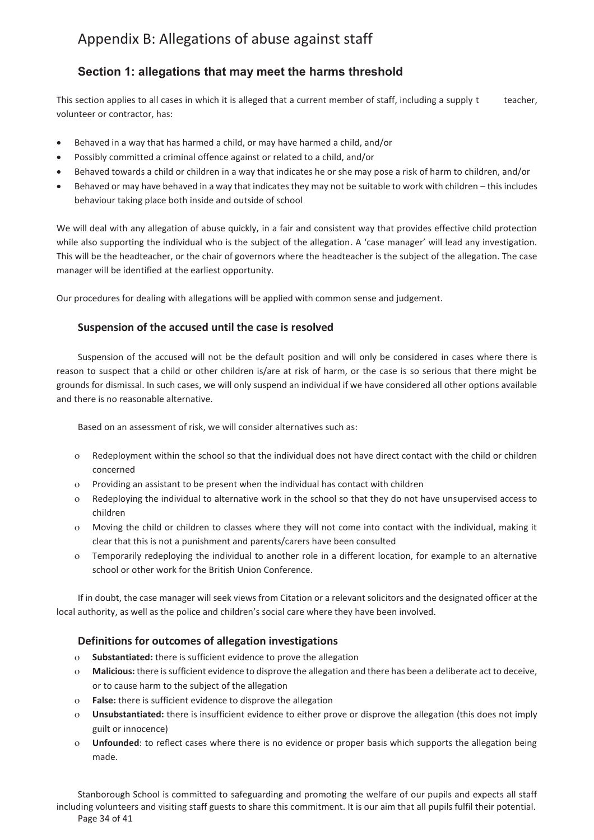# Appendix B: Allegations of abuse against staff

# **Section 1: allegations that may meet the harms threshold**

This section applies to all cases in which it is alleged that a current member of staff, including a supply t teacher, volunteer or contractor, has:

- · Behaved in a way that has harmed a child, or may have harmed a child, and/or
- · Possibly committed a criminal offence against or related to a child, and/or
- · Behaved towards a child or children in a way that indicates he or she may pose a risk of harm to children, and/or
- · Behaved or may have behaved in a way that indicates they may not be suitable to work with children this includes behaviour taking place both inside and outside of school

We will deal with any allegation of abuse quickly, in a fair and consistent way that provides effective child protection while also supporting the individual who is the subject of the allegation. A 'case manager' will lead any investigation. This will be the headteacher, or the chair of governors where the headteacher is the subject of the allegation. The case manager will be identified at the earliest opportunity.

Our procedures for dealing with allegations will be applied with common sense and judgement.

# **Suspension of the accused until the case is resolved**

Suspension of the accused will not be the default position and will only be considered in cases where there is reason to suspect that a child or other children is/are at risk of harm, or the case is so serious that there might be grounds for dismissal. In such cases, we will only suspend an individual if we have considered all other options available and there is no reasonable alternative.

Based on an assessment of risk, we will consider alternatives such as:

- o Redeployment within the school so that the individual does not have direct contact with the child or children concerned
- o Providing an assistant to be present when the individual has contact with children
- o Redeploying the individual to alternative work in the school so that they do not have unsupervised access to children
- o Moving the child or children to classes where they will not come into contact with the individual, making it clear that this is not a punishment and parents/carers have been consulted
- o Temporarily redeploying the individual to another role in a different location, for example to an alternative school or other work for the British Union Conference.

If in doubt, the case manager will seek views from Citation or a relevant solicitors and the designated officer at the local authority, as well as the police and children's social care where they have been involved.

# **Definitions for outcomes of allegation investigations**

- o **Substantiated:** there is sufficient evidence to prove the allegation
- o **Malicious:** there is sufficient evidence to disprove the allegation and there has been a deliberate act to deceive, or to cause harm to the subject of the allegation
- o **False:** there is sufficient evidence to disprove the allegation
- o **Unsubstantiated:** there is insufficient evidence to either prove or disprove the allegation (this does not imply guilt or innocence)
- o **Unfounded**: to reflect cases where there is no evidence or proper basis which supports the allegation being made.

Stanborough School is committed to safeguarding and promoting the welfare of our pupils and expects all staff including volunteers and visiting staff guests to share this commitment. It is our aim that all pupils fulfil their potential. Page 34 of 41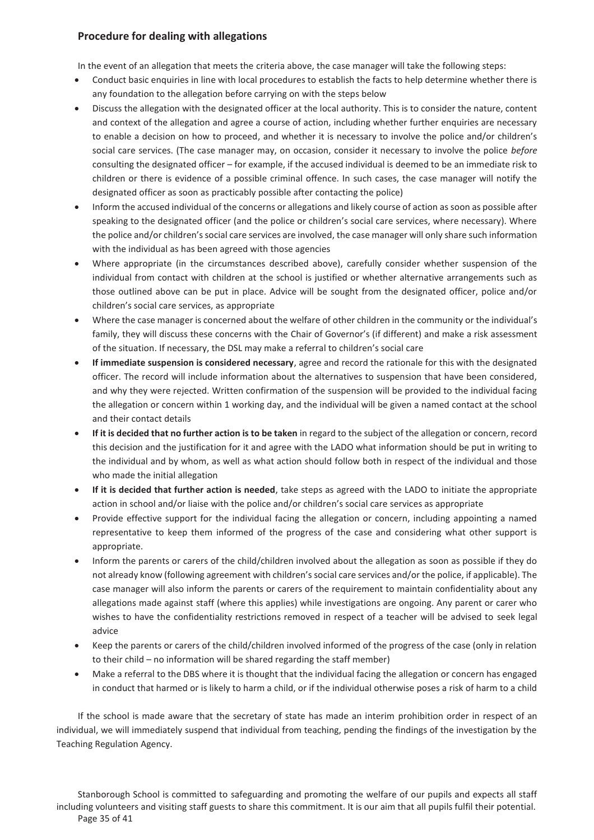# **Procedure for dealing with allegations**

In the event of an allegation that meets the criteria above, the case manager will take the following steps:

- Conduct basic enquiries in line with local procedures to establish the facts to help determine whether there is any foundation to the allegation before carrying on with the steps below
- Discuss the allegation with the designated officer at the local authority. This is to consider the nature, content and context of the allegation and agree a course of action, including whether further enquiries are necessary to enable a decision on how to proceed, and whether it is necessary to involve the police and/or children's social care services. (The case manager may, on occasion, consider it necessary to involve the police *before* consulting the designated officer – for example, if the accused individual is deemed to be an immediate risk to children or there is evidence of a possible criminal offence. In such cases, the case manager will notify the designated officer as soon as practicably possible after contacting the police)
- · Inform the accused individual of the concerns or allegations and likely course of action as soon as possible after speaking to the designated officer (and the police or children's social care services, where necessary). Where the police and/or children's social care services are involved, the case manager will only share such information with the individual as has been agreed with those agencies
- · Where appropriate (in the circumstances described above), carefully consider whether suspension of the individual from contact with children at the school is justified or whether alternative arrangements such as those outlined above can be put in place. Advice will be sought from the designated officer, police and/or children's social care services, as appropriate
- · Where the case manager is concerned about the welfare of other children in the community or the individual's family, they will discuss these concerns with the Chair of Governor's (if different) and make a risk assessment of the situation. If necessary, the DSL may make a referral to children's social care
- · **If immediate suspension is considered necessary**, agree and record the rationale for this with the designated officer. The record will include information about the alternatives to suspension that have been considered, and why they were rejected. Written confirmation of the suspension will be provided to the individual facing the allegation or concern within 1 working day, and the individual will be given a named contact at the school and their contact details
- · **If it is decided that no further action is to be taken** in regard to the subject of the allegation or concern, record this decision and the justification for it and agree with the LADO what information should be put in writing to the individual and by whom, as well as what action should follow both in respect of the individual and those who made the initial allegation
- · **If it is decided that further action is needed**, take steps as agreed with the LADO to initiate the appropriate action in school and/or liaise with the police and/or children's social care services as appropriate
- · Provide effective support for the individual facing the allegation or concern, including appointing a named representative to keep them informed of the progress of the case and considering what other support is appropriate.
- · Inform the parents or carers of the child/children involved about the allegation as soon as possible if they do not already know (following agreement with children's social care services and/or the police, if applicable). The case manager will also inform the parents or carers of the requirement to maintain confidentiality about any allegations made against staff (where this applies) while investigations are ongoing. Any parent or carer who wishes to have the confidentiality restrictions removed in respect of a teacher will be advised to seek legal advice
- · Keep the parents or carers of the child/children involved informed of the progress of the case (only in relation to their child – no information will be shared regarding the staff member)
- · Make a referral to the DBS where it is thought that the individual facing the allegation or concern has engaged in conduct that harmed or is likely to harm a child, or if the individual otherwise poses a risk of harm to a child

If the school is made aware that the secretary of state has made an interim prohibition order in respect of an individual, we will immediately suspend that individual from teaching, pending the findings of the investigation by the Teaching Regulation Agency.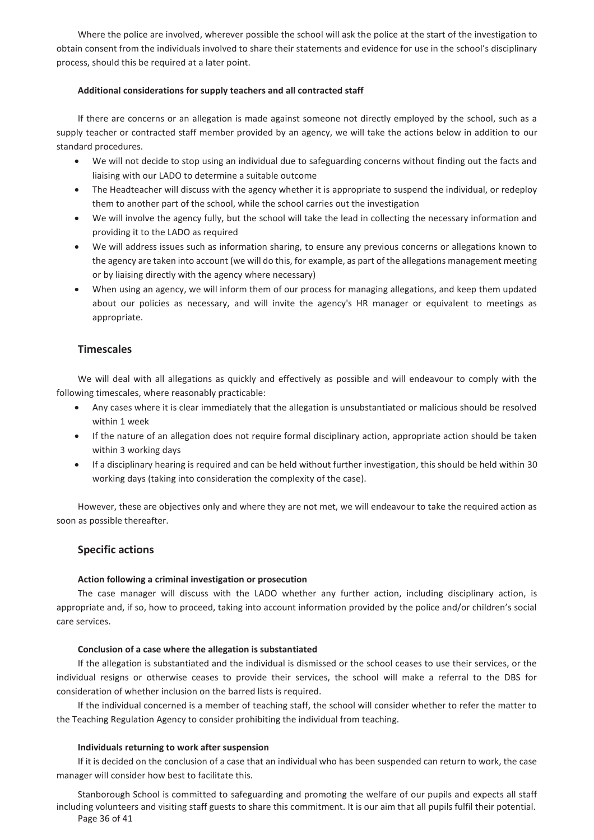Where the police are involved, wherever possible the school will ask the police at the start of the investigation to obtain consent from the individuals involved to share their statements and evidence for use in the school's disciplinary process, should this be required at a later point.

#### **Additional considerations for supply teachers and all contracted staff**

If there are concerns or an allegation is made against someone not directly employed by the school, such as a supply teacher or contracted staff member provided by an agency, we will take the actions below in addition to our standard procedures.

- · We will not decide to stop using an individual due to safeguarding concerns without finding out the facts and liaising with our LADO to determine a suitable outcome
- · The Headteacher will discuss with the agency whether it is appropriate to suspend the individual, or redeploy them to another part of the school, while the school carries out the investigation
- · We will involve the agency fully, but the school will take the lead in collecting the necessary information and providing it to the LADO as required
- We will address issues such as information sharing, to ensure any previous concerns or allegations known to the agency are taken into account (we will do this, for example, as part of the allegations management meeting or by liaising directly with the agency where necessary)
- When using an agency, we will inform them of our process for managing allegations, and keep them updated about our policies as necessary, and will invite the agency's HR manager or equivalent to meetings as appropriate.

# **Timescales**

We will deal with all allegations as quickly and effectively as possible and will endeavour to comply with the following timescales, where reasonably practicable:

- · Any cases where it is clear immediately that the allegation is unsubstantiated or malicious should be resolved within 1 week
- · If the nature of an allegation does not require formal disciplinary action, appropriate action should be taken within 3 working days
- · If a disciplinary hearing is required and can be held without further investigation, this should be held within 30 working days (taking into consideration the complexity of the case).

However, these are objectives only and where they are not met, we will endeavour to take the required action as soon as possible thereafter.

### **Specific actions**

### **Action following a criminal investigation or prosecution**

The case manager will discuss with the LADO whether any further action, including disciplinary action, is appropriate and, if so, how to proceed, taking into account information provided by the police and/or children's social care services.

#### **Conclusion of a case where the allegation is substantiated**

If the allegation is substantiated and the individual is dismissed or the school ceases to use their services, or the individual resigns or otherwise ceases to provide their services, the school will make a referral to the DBS for consideration of whether inclusion on the barred lists is required.

If the individual concerned is a member of teaching staff, the school will consider whether to refer the matter to the Teaching Regulation Agency to consider prohibiting the individual from teaching.

### **Individuals returning to work after suspension**

If it is decided on the conclusion of a case that an individual who has been suspended can return to work, the case manager will consider how best to facilitate this.

Stanborough School is committed to safeguarding and promoting the welfare of our pupils and expects all staff including volunteers and visiting staff guests to share this commitment. It is our aim that all pupils fulfil their potential. Page 36 of 41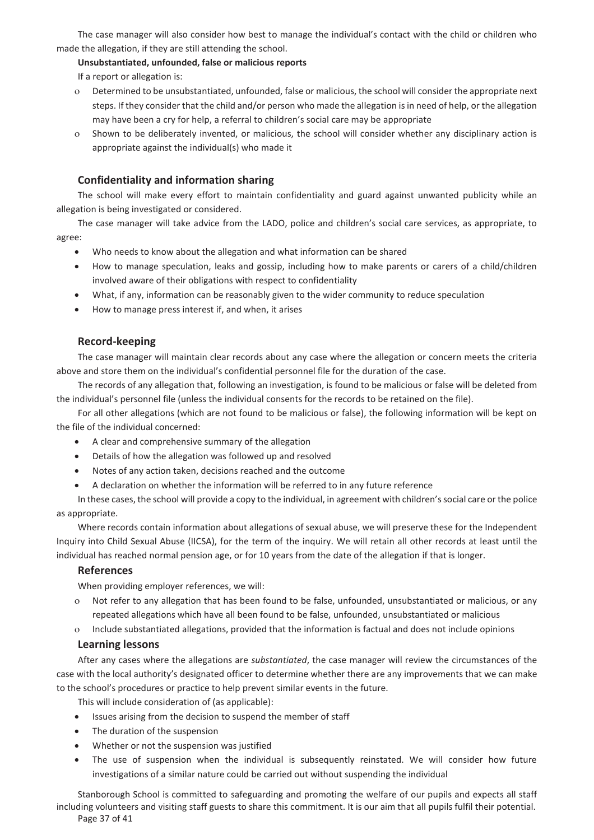The case manager will also consider how best to manage the individual's contact with the child or children who made the allegation, if they are still attending the school.

#### **Unsubstantiated, unfounded, false or malicious reports**

If a report or allegation is:

- o Determined to be unsubstantiated, unfounded, false or malicious, the school will consider the appropriate next steps. If they consider that the child and/or person who made the allegation is in need of help, or the allegation may have been a cry for help, a referral to children's social care may be appropriate
- Shown to be deliberately invented, or malicious, the school will consider whether any disciplinary action is appropriate against the individual(s) who made it

### **Confidentiality and information sharing**

The school will make every effort to maintain confidentiality and guard against unwanted publicity while an allegation is being investigated or considered.

The case manager will take advice from the LADO, police and children's social care services, as appropriate, to agree:

- Who needs to know about the allegation and what information can be shared
- How to manage speculation, leaks and gossip, including how to make parents or carers of a child/children involved aware of their obligations with respect to confidentiality
- · What, if any, information can be reasonably given to the wider community to reduce speculation
- · How to manage press interest if, and when, it arises

#### **Record-keeping**

The case manager will maintain clear records about any case where the allegation or concern meets the criteria above and store them on the individual's confidential personnel file for the duration of the case.

The records of any allegation that, following an investigation, is found to be malicious or false will be deleted from the individual's personnel file (unless the individual consents for the records to be retained on the file).

For all other allegations (which are not found to be malicious or false), the following information will be kept on the file of the individual concerned:

- · A clear and comprehensive summary of the allegation
- Details of how the allegation was followed up and resolved
- · Notes of any action taken, decisions reached and the outcome
- A declaration on whether the information will be referred to in any future reference

In these cases, the school will provide a copy to the individual, in agreement with children's social care or the police as appropriate.

Where records contain information about allegations of sexual abuse, we will preserve these for the Independent Inquiry into Child Sexual Abuse (IICSA), for the term of the inquiry. We will retain all other records at least until the individual has reached normal pension age, or for 10 years from the date of the allegation if that is longer.

#### **References**

When providing employer references, we will:

- o Not refer to any allegation that has been found to be false, unfounded, unsubstantiated or malicious, or any repeated allegations which have all been found to be false, unfounded, unsubstantiated or malicious
- o Include substantiated allegations, provided that the information is factual and does not include opinions

#### **Learning lessons**

After any cases where the allegations are *substantiated*, the case manager will review the circumstances of the case with the local authority's designated officer to determine whether there are any improvements that we can make to the school's procedures or practice to help prevent similar events in the future.

This will include consideration of (as applicable):

- · Issues arising from the decision to suspend the member of staff
- · The duration of the suspension
- · Whether or not the suspension was justified
- The use of suspension when the individual is subsequently reinstated. We will consider how future investigations of a similar nature could be carried out without suspending the individual

Stanborough School is committed to safeguarding and promoting the welfare of our pupils and expects all staff including volunteers and visiting staff guests to share this commitment. It is our aim that all pupils fulfil their potential. Page 37 of 41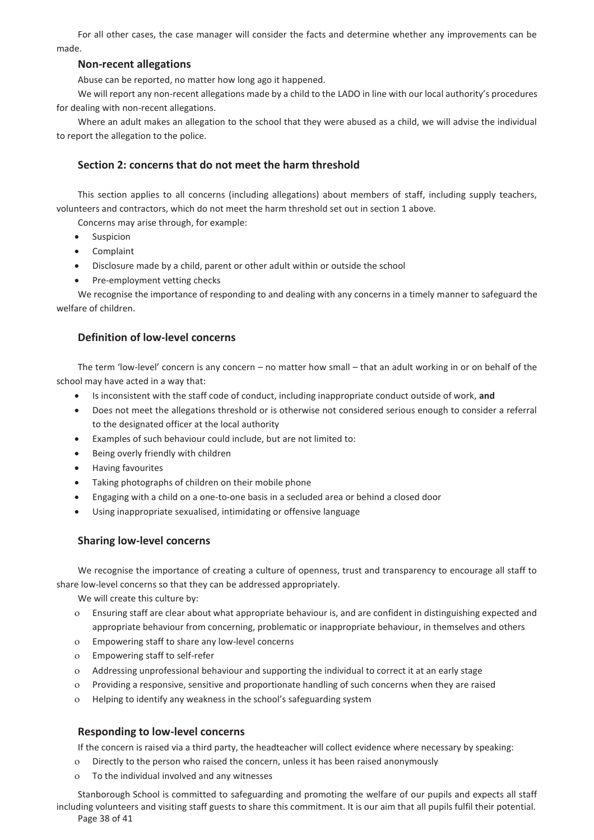For all other cases, the case manager will consider the facts and determine whether any improvements can be made.

# **Non-recent allegations**

Abuse can be reported, no matter how long ago it happened.

We will report any non-recent allegations made by a child to the LADO in line with our local authority's procedures for dealing with non-recent allegations.

Where an adult makes an allegation to the school that they were abused as a child, we will advise the individual to report the allegation to the police.

# **Section 2: concerns that do not meet the harm threshold**

This section applies to all concerns (including allegations) about members of staff, including supply teachers, volunteers and contractors, which do not meet the harm threshold set out in section 1 above.

Concerns may arise through, for example:

- · Suspicion
- · Complaint
- · Disclosure made by a child, parent or other adult within or outside the school
- Pre-employment vetting checks

We recognise the importance of responding to and dealing with any concerns in a timely manner to safeguard the welfare of children.

# **Definition of low-level concerns**

The term 'low-level' concern is any concern – no matter how small – that an adult working in or on behalf of the school may have acted in a way that:

- · Is inconsistent with the staff code of conduct, including inappropriate conduct outside of work, **and**
- · Does not meet the allegations threshold or is otherwise not considered serious enough to consider a referral to the designated officer at the local authority
- · Examples of such behaviour could include, but are not limited to:
- · Being overly friendly with children
- · Having favourites
- · Taking photographs of children on their mobile phone
- · Engaging with a child on a one-to-one basis in a secluded area or behind a closed door
- · Using inappropriate sexualised, intimidating or offensive language

### **Sharing low-level concerns**

We recognise the importance of creating a culture of openness, trust and transparency to encourage all staff to share low-level concerns so that they can be addressed appropriately.

We will create this culture by:

- o Ensuring staff are clear about what appropriate behaviour is, and are confident in distinguishing expected and appropriate behaviour from concerning, problematic or inappropriate behaviour, in themselves and others
- o Empowering staff to share any low-level concerns
- o Empowering staff to self-refer
- o Addressing unprofessional behaviour and supporting the individual to correct it at an early stage
- o Providing a responsive, sensitive and proportionate handling of such concerns when they are raised
- o Helping to identify any weakness in the school's safeguarding system

### **Responding to low-level concerns**

If the concern is raised via a third party, the headteacher will collect evidence where necessary by speaking:

- o Directly to the person who raised the concern, unless it has been raised anonymously
- o To the individual involved and any witnesses

Stanborough School is committed to safeguarding and promoting the welfare of our pupils and expects all staff including volunteers and visiting staff guests to share this commitment. It is our aim that all pupils fulfil their potential. Page 38 of 41